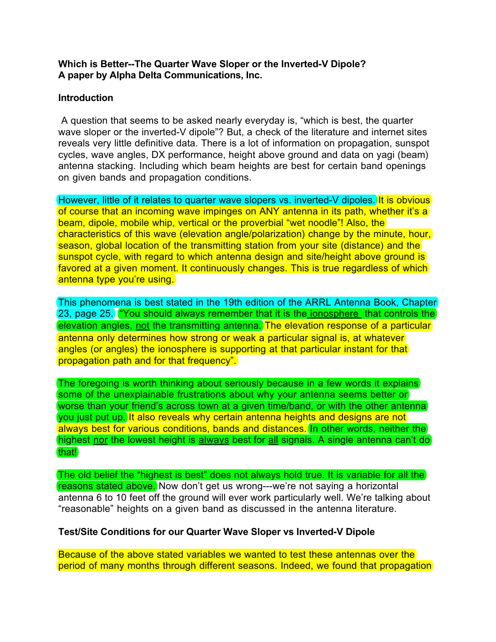# **Which is Better--The Quarter Wave Sloper or the Inverted-V Dipole? A paper by Alpha Delta Communications, Inc.**

# **Introduction**

A question that seems to be asked nearly everyday is, "which is best, the quarter wave sloper or the inverted-V dipole"? But, a check of the literature and internet sites reveals very little definitive data. There is a lot of information on propagation, sunspot cycles, wave angles, DX performance, height above ground and data on yagi (beam) antenna stacking. Including which beam heights are best for certain band openings on given bands and propagation conditions.

However, little of it relates to quarter wave slopers vs. inverted-V dipoles. It is obvious of course that an incoming wave impinges on ANY antenna in its path, whether it's a beam, dipole, mobile whip, vertical or the proverbial "wet noodle"! Also, (the) characteristics of this wave (elevation angle/polarization) change by the minute, hour, season, global location of the transmitting station from your site (distance) and the sunspot cycle, with regard to which antenna design and site/height above ground is favored at a given moment. It continuously changes. This is true regardless of which antenna type you're using.

This phenomena is best stated in the 19th edition of the ARRL Antenna Book, Chapter 23, page 25.  $^{\prime\prime}$  You should always remember that it is the ionosphere that controls the elevation angles, not the transmitting antenna. The elevation response of a particular antenna only determines how strong or weak a particular signal is, at whatever angles (or angles) the ionosphere is supporting at that particular instant for that propagation path and for that frequency".

The foregoing is worth thinking about seriously because in a few words it explains some of the unexplainable frustrations about why your antenna seems better or worse than your friend's across town at a given time/band, or with the other antenna (you just put up.) It also reveals why certain antenna heights and designs are not always best for various conditions, bands and distances. In other words, neither the (highest nor the lowest height is always best for all signals. A single antenna can't do) (that!)

The old belief the "highest is best" does not always hold true. It is variable for all the reasons stated above. Now don't get us wrong---we're not saying a horizontal antenna 6 to 10 feet off the ground will ever work particularly well. We're talking about "reasonable" heights on a given band as discussed in the antenna literature.

# **Test/Site Conditions for our Quarter Wave Sloper vs Inverted-V Dipole**

Because of the above stated variables we wanted to test these antennas over the period of many months through different seasons. Indeed, we found that propagation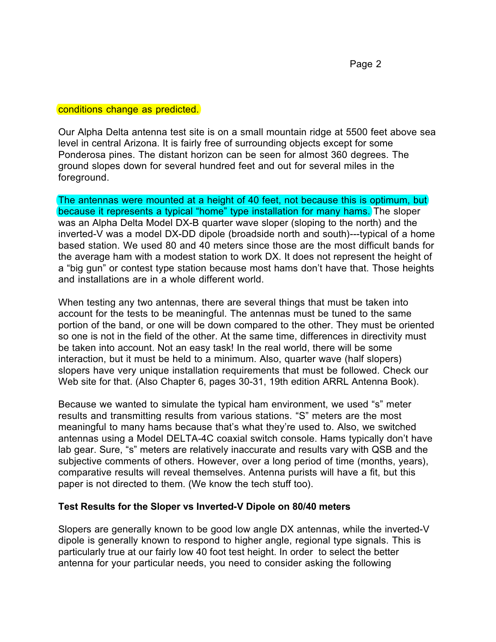conditions change as predicted.

Our Alpha Delta antenna test site is on a small mountain ridge at 5500 feet above sea level in central Arizona. It is fairly free of surrounding objects except for some Ponderosa pines. The distant horizon can be seen for almost 360 degrees. The ground slopes down for several hundred feet and out for several miles in the foreground.

The antennas were mounted at a height of 40 feet, not because this is optimum, but because it represents a typical "home" type installation for many hams. The sloper was an Alpha Delta Model DX-B quarter wave sloper (sloping to the north) and the inverted-V was a model DX-DD dipole (broadside north and south)---typical of a home based station. We used 80 and 40 meters since those are the most difficult bands for the average ham with a modest station to work DX. It does not represent the height of a "big gun" or contest type station because most hams don't have that. Those heights and installations are in a whole different world.

When testing any two antennas, there are several things that must be taken into account for the tests to be meaningful. The antennas must be tuned to the same portion of the band, or one will be down compared to the other. They must be oriented so one is not in the field of the other. At the same time, differences in directivity must be taken into account. Not an easy task! In the real world, there will be some interaction, but it must be held to a minimum. Also, quarter wave (half slopers) slopers have very unique installation requirements that must be followed. Check our Web site for that. (Also Chapter 6, pages 30-31, 19th edition ARRL Antenna Book).

Because we wanted to simulate the typical ham environment, we used "s" meter results and transmitting results from various stations. "S" meters are the most meaningful to many hams because that's what they're used to. Also, we switched antennas using a Model DELTA-4C coaxial switch console. Hams typically don't have lab gear. Sure, "s" meters are relatively inaccurate and results vary with QSB and the subjective comments of others. However, over a long period of time (months, years), comparative results will reveal themselves. Antenna purists will have a fit, but this paper is not directed to them. (We know the tech stuff too).

# **Test Results for the Sloper vs Inverted-V Dipole on 80/40 meters**

Slopers are generally known to be good low angle DX antennas, while the inverted-V dipole is generally known to respond to higher angle, regional type signals. This is particularly true at our fairly low 40 foot test height. In order to select the better antenna for your particular needs, you need to consider asking the following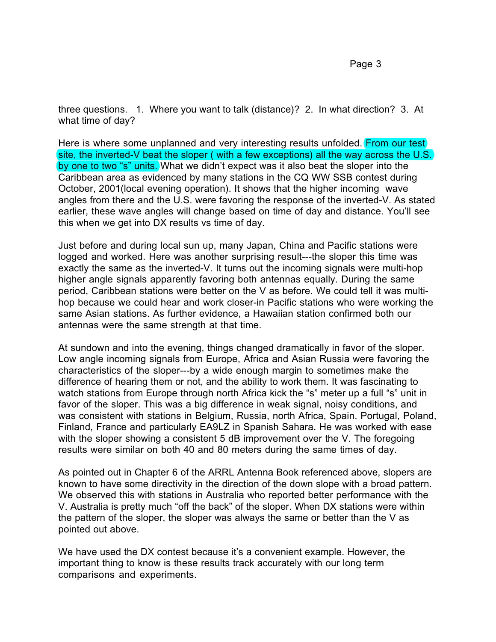three questions. 1. Where you want to talk (distance)? 2. In what direction? 3. At what time of day?

Here is where some unplanned and very interesting results unfolded. From our test) site, the inverted-V beat the sloper ( with a few exceptions) all the way across the U.S. by one to two "s" units. What we didn't expect was it also beat the sloper into the Caribbean area as evidenced by many stations in the CQ WW SSB contest during October, 2001(local evening operation). It shows that the higher incoming wave angles from there and the U.S. were favoring the response of the inverted-V. As stated earlier, these wave angles will change based on time of day and distance. You'll see this when we get into DX results vs time of day.

Just before and during local sun up, many Japan, China and Pacific stations were logged and worked. Here was another surprising result---the sloper this time was exactly the same as the inverted-V. It turns out the incoming signals were multi-hop higher angle signals apparently favoring both antennas equally. During the same period, Caribbean stations were better on the V as before. We could tell it was multihop because we could hear and work closer-in Pacific stations who were working the same Asian stations. As further evidence, a Hawaiian station confirmed both our antennas were the same strength at that time.

At sundown and into the evening, things changed dramatically in favor of the sloper. Low angle incoming signals from Europe, Africa and Asian Russia were favoring the characteristics of the sloper---by a wide enough margin to sometimes make the difference of hearing them or not, and the ability to work them. It was fascinating to watch stations from Europe through north Africa kick the "s" meter up a full "s" unit in favor of the sloper. This was a big difference in weak signal, noisy conditions, and was consistent with stations in Belgium, Russia, north Africa, Spain. Portugal, Poland, Finland, France and particularly EA9LZ in Spanish Sahara. He was worked with ease with the sloper showing a consistent 5 dB improvement over the V. The foregoing results were similar on both 40 and 80 meters during the same times of day.

As pointed out in Chapter 6 of the ARRL Antenna Book referenced above, slopers are known to have some directivity in the direction of the down slope with a broad pattern. We observed this with stations in Australia who reported better performance with the V. Australia is pretty much "off the back" of the sloper. When DX stations were within the pattern of the sloper, the sloper was always the same or better than the V as pointed out above.

We have used the DX contest because it's a convenient example. However, the important thing to know is these results track accurately with our long term comparisons and experiments.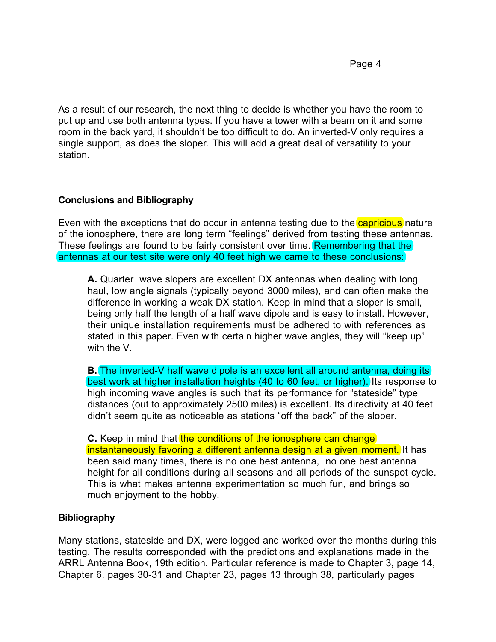As a result of our research, the next thing to decide is whether you have the room to put up and use both antenna types. If you have a tower with a beam on it and some room in the back yard, it shouldn't be too difficult to do. An inverted-V only requires a single support, as does the sloper. This will add a great deal of versatility to your station.

# **Conclusions and Bibliography**

Even with the exceptions that do occur in antenna testing due to the  $\alpha$  capricious nature of the ionosphere, there are long term "feelings" derived from testing these antennas. These feelings are found to be fairly consistent over time. Remembering that the antennas at our test site were only 40 feet high we came to these conclusions:

**A.** Quarter wave slopers are excellent DX antennas when dealing with long haul, low angle signals (typically beyond 3000 miles), and can often make the difference in working a weak DX station. Keep in mind that a sloper is small, being only half the length of a half wave dipole and is easy to install. However, their unique installation requirements must be adhered to with references as stated in this paper. Even with certain higher wave angles, they will "keep up" with the V.

**B.** The inverted-V half wave dipole is an excellent all around antenna, doing its best work at higher installation heights (40 to 60 feet, or higher). Its response to high incoming wave angles is such that its performance for "stateside" type distances (out to approximately 2500 miles) is excellent. Its directivity at 40 feet didn't seem quite as noticeable as stations "off the back" of the sloper.

**C.** Keep in mind that the conditions of the ionosphere can change instantaneously favoring a different antenna design at a given moment. It has been said many times, there is no one best antenna, no one best antenna height for all conditions during all seasons and all periods of the sunspot cycle. This is what makes antenna experimentation so much fun, and brings so much enjoyment to the hobby.

# **Bibliography**

Many stations, stateside and DX, were logged and worked over the months during this testing. The results corresponded with the predictions and explanations made in the ARRL Antenna Book, 19th edition. Particular reference is made to Chapter 3, page 14, Chapter 6, pages 30-31 and Chapter 23, pages 13 through 38, particularly pages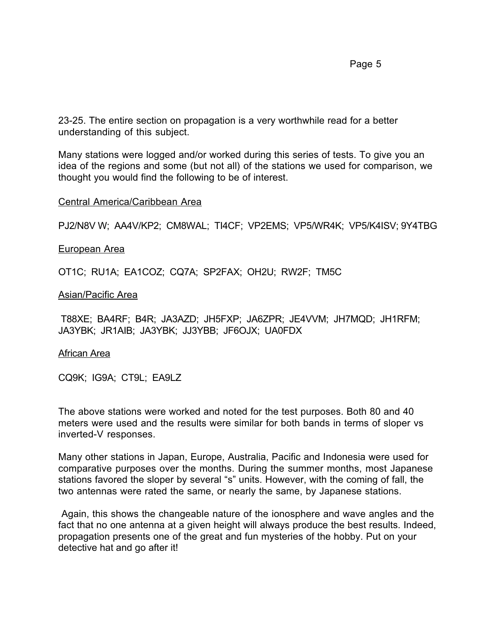23-25. The entire section on propagation is a very worthwhile read for a better understanding of this subject.

Many stations were logged and/or worked during this series of tests. To give you an idea of the regions and some (but not all) of the stations we used for comparison, we thought you would find the following to be of interest.

### Central America/Caribbean Area

PJ2/N8V W; AA4V/KP2; CM8WAL; TI4CF; VP2EMS; VP5/WR4K; VP5/K4ISV; 9Y4TBG

### European Area

OT1C; RU1A; EA1COZ; CQ7A; SP2FAX; OH2U; RW2F; TM5C

### Asian/Pacific Area

 T88XE; BA4RF; B4R; JA3AZD; JH5FXP; JA6ZPR; JE4VVM; JH7MQD; JH1RFM; JA3YBK; JR1AIB; JA3YBK; JJ3YBB; JF6OJX; UA0FDX

### African Area

CQ9K; IG9A; CT9L; EA9LZ

The above stations were worked and noted for the test purposes. Both 80 and 40 meters were used and the results were similar for both bands in terms of sloper vs inverted-V responses.

Many other stations in Japan, Europe, Australia, Pacific and Indonesia were used for comparative purposes over the months. During the summer months, most Japanese stations favored the sloper by several "s" units. However, with the coming of fall, the two antennas were rated the same, or nearly the same, by Japanese stations.

Again, this shows the changeable nature of the ionosphere and wave angles and the fact that no one antenna at a given height will always produce the best results. Indeed, propagation presents one of the great and fun mysteries of the hobby. Put on your detective hat and go after it!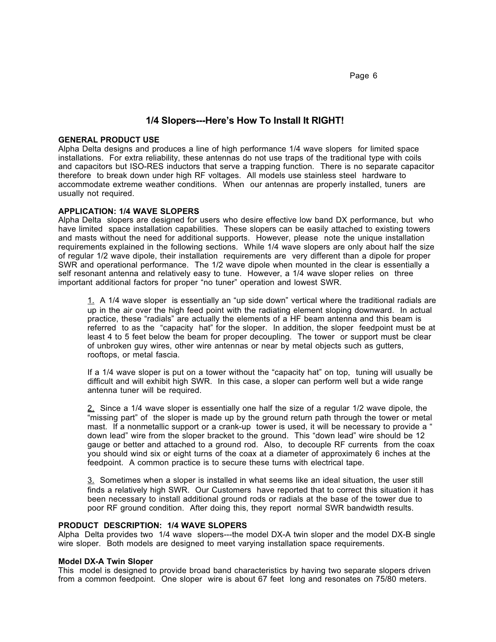Page 6

### **1/4 Slopers---Here's How To Install It RIGHT!**

#### **GENERAL PRODUCT USE**

Alpha Delta designs and produces a line of high performance 1/4 wave slopers for limited space installations. For extra reliability, these antennas do not use traps of the traditional type with coils and capacitors but ISO-RES inductors that serve a trapping function. There is no separate capacitor therefore to break down under high RF voltages. All models use stainless steel hardware to accommodate extreme weather conditions. When our antennas are properly installed, tuners are usually not required.

### **APPLICATION: 1/4 WAVE SLOPERS**

Alpha Delta slopers are designed for users who desire effective low band DX performance, but who have limited space installation capabilities. These slopers can be easily attached to existing towers and masts without the need for additional supports. However, please note the unique installation requirements explained in the following sections. While 1/4 wave slopers are only about half the size of regular 1/2 wave dipole, their installation requirements are very different than a dipole for proper SWR and operational performance. The 1/2 wave dipole when mounted in the clear is essentially a self resonant antenna and relatively easy to tune. However, a 1/4 wave sloper relies on three important additional factors for proper "no tuner" operation and lowest SWR.

1. A 1/4 wave sloper is essentially an "up side down" vertical where the traditional radials are up in the air over the high feed point with the radiating element sloping downward. In actual practice, these "radials" are actually the elements of a HF beam antenna and this beam is referred to as the "capacity hat" for the sloper. In addition, the sloper feedpoint must be at least 4 to 5 feet below the beam for proper decoupling. The tower or support must be clear of unbroken guy wires, other wire antennas or near by metal objects such as gutters, rooftops, or metal fascia.

If a 1/4 wave sloper is put on a tower without the "capacity hat" on top, tuning will usually be difficult and will exhibit high SWR. In this case, a sloper can perform well but a wide range antenna tuner will be required.

2. Since a 1/4 wave sloper is essentially one half the size of a regular 1/2 wave dipole, the "missing part" of the sloper is made up by the ground return path through the tower or metal mast. If a nonmetallic support or a crank-up tower is used, it will be necessary to provide a " down lead" wire from the sloper bracket to the ground. This "down lead" wire should be 12 gauge or better and attached to a ground rod. Also, to decouple RF currents from the coax you should wind six or eight turns of the coax at a diameter of approximately 6 inches at the feedpoint. A common practice is to secure these turns with electrical tape.

3. Sometimes when a sloper is installed in what seems like an ideal situation, the user still finds a relatively high SWR. Our Customers have reported that to correct this situation it has been necessary to install additional ground rods or radials at the base of the tower due to poor RF ground condition. After doing this, they report normal SWR bandwidth results.

#### **PRODUCT DESCRIPTION: 1/4 WAVE SLOPERS**

Alpha Delta provides two 1/4 wave slopers---the model DX-A twin sloper and the model DX-B single wire sloper. Both models are designed to meet varying installation space requirements.

#### **Model DX-A Twin Sloper**

This model is designed to provide broad band characteristics by having two separate slopers driven from a common feedpoint. One sloper wire is about 67 feet long and resonates on 75/80 meters.